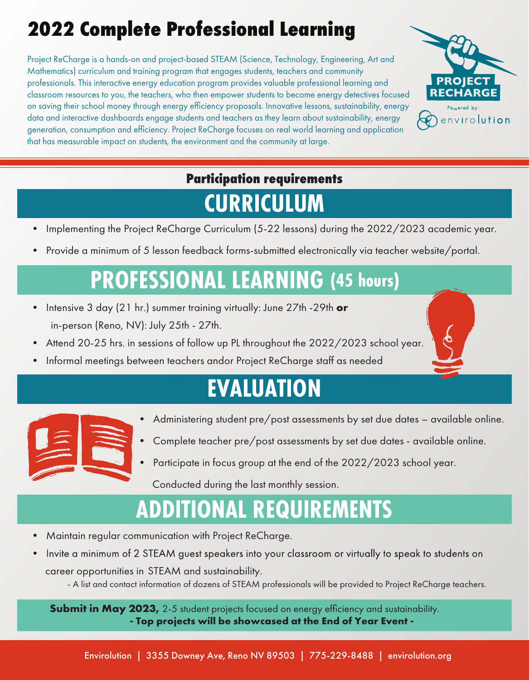#### **2022 Complete Professional Learning**

Project ReCharge is a hands-on and project-based STEAM (Science, Technology, Engineering, Art and Mathematics) curriculum and training program that engages students, teachers and community professionals. This interactive energy education program provides valuable professional learning and classroom resources to you, the teachers, who then empower students to become energy detectives focused on saving their school money through energy efficiency proposals. Innovative lessons, sustainability, energy data and interactive dashboards engage students and teachers as they learn about sustainability, energy generation, consumption and efficiency. Project ReCharge focuses on real world learning and application that has measurable impact on students, the environment and the community at large.



#### **Participation requirements**

#### **CURRICULUM**

- Implementing the Project ReCharge Curriculum (5-22 lessons) during the 2022/2023 academic year.
- Provide a minimum of 5 lesson feedback forms-submitted electronically via teacher website/portal.

#### **PROFESSIONAL LEARNING (45 hours)**

- Intensive 3 day (21 hr.) summer training virtually: June 27th -29th **or** in-person (Reno, NV): July 25th - 27th.
- Attend 20-25 hrs. in sessions of follow up PL throughout the 2022/2023 school year.
- Informal meetings between teachers andor Project ReCharge staff as needed

## **EVALUATION**



- Administering student pre/post assessments by set due dates available online.
- Complete teacher pre/post assessments by set due dates available online.
- Participate in focus group at the end of the 2022/2023 school year.

Conducted during the last monthly session.

## **ADDITIONAL REQUIREMENTS**

- Maintain regular communication with Project ReCharge.
- Invite a minimum of 2 STEAM guest speakers into your classroom or virtually to speak to students on career opportunities in STEAM and sustainability.

- A list and contact information of dozens of STEAM professionals will be provided to Project ReCharge teachers.

**Submit in May 2023,** 2-5 student projects focused on energy efficiency and sustainability. **- Top projects will be showcased at the End of Year Event -**